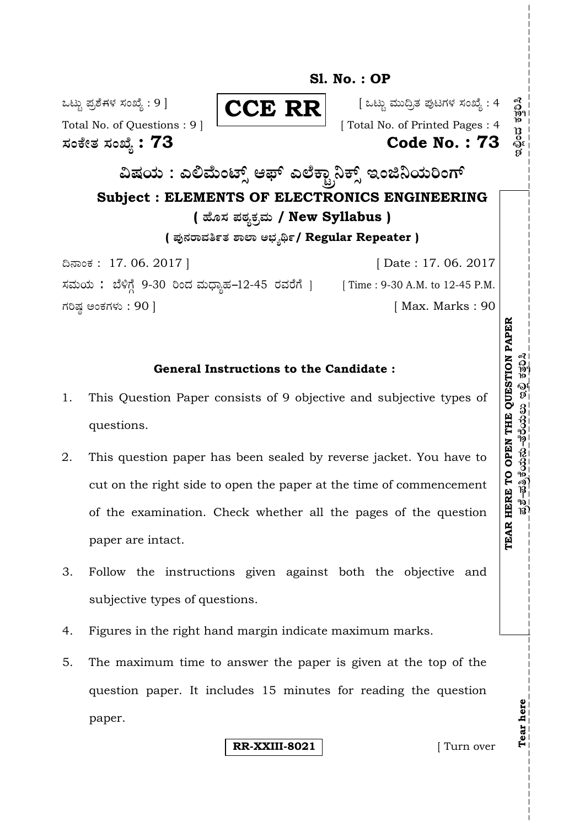

## **General Instructions to the Candidate :**

- 1. This Question Paper consists of 9 objective and subjective types of questions.
- 2. This question paper has been sealed by reverse jacket. You have to cut on the right side to open the paper at the time of commencement of the examination. Check whether all the pages of the question paper are intact.
- 3. Follow the instructions given against both the objective and subjective types of questions.
- 4. Figures in the right hand margin indicate maximum marks.
- 5. The maximum time to answer the paper is given at the top of the question paper. It includes 15 minutes for reading the question paper.

**RR-XXIII-8021 Turn over** 

**Tear here** 

Tear here

<u>ಪ್ರಶೆ–ಪತ್ರಿಕೆಯನು–ತೆರೆಯಲು ಇಲ್ಲಿ ಕತ್ತರಿಸಿ</u>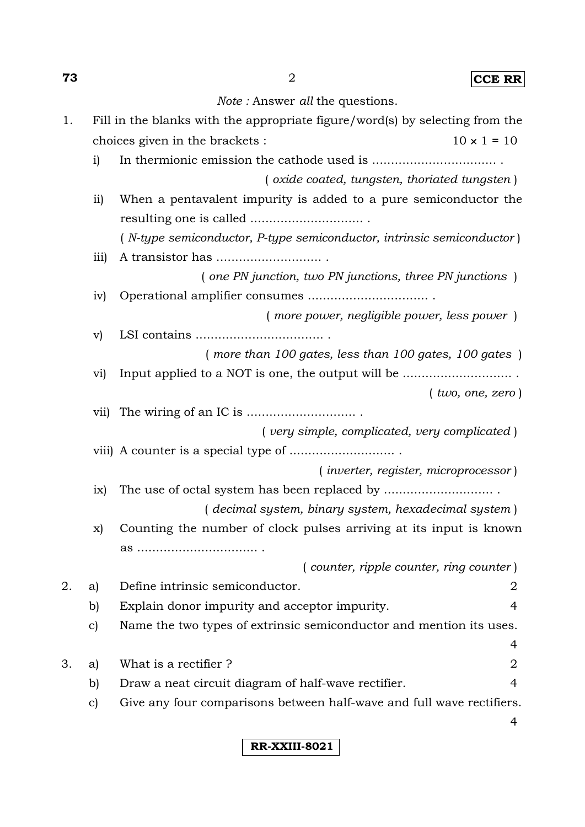**73** 2 **CCE RR**

*Note :* Answer *all* the questions.

| 1. |                 | Fill in the blanks with the appropriate figure/word(s) by selecting from the |   |
|----|-----------------|------------------------------------------------------------------------------|---|
|    |                 | choices given in the brackets :<br>$10 \times 1 = 10$                        |   |
|    | $\mathbf{i}$    |                                                                              |   |
|    |                 | (oxide coated, tungsten, thoriated tungsten)                                 |   |
|    | $\overline{11}$ | When a pentavalent impurity is added to a pure semiconductor the             |   |
|    |                 |                                                                              |   |
|    |                 | (N-type semiconductor, P-type semiconductor, intrinsic semiconductor)        |   |
|    | iii)            |                                                                              |   |
|    |                 | $($ one PN junction, two PN junctions, three PN junctions $)$                |   |
|    | iv)             |                                                                              |   |
|    |                 | (more power, negligible power, less power)                                   |   |
|    | $\mathbf{v})$   |                                                                              |   |
|    |                 | $($ more than 100 gates, less than 100 gates, 100 gates $)$                  |   |
|    | $\rm{vi)}$      |                                                                              |   |
|    |                 | $($ two, one, zero)                                                          |   |
|    | vii)            |                                                                              |   |
|    |                 | (very simple, complicated, very complicated)                                 |   |
|    |                 |                                                                              |   |
|    |                 | $($ inverter, register, microprocessor $)$                                   |   |
|    | ix)             |                                                                              |   |
|    |                 | (decimal system, binary system, hexadecimal system)                          |   |
|    | X)              | Counting the number of clock pulses arriving at its input is known           |   |
|    |                 |                                                                              |   |
|    |                 | $( counter, ripple counter, ring counter)$                                   |   |
| 2. | a)              | Define intrinsic semiconductor.                                              | 2 |
|    | b)              | Explain donor impurity and acceptor impurity.                                | 4 |
|    | $\mathbf{c})$   | Name the two types of extrinsic semiconductor and mention its uses.          |   |
|    |                 |                                                                              | 4 |
| 3. | a)              | What is a rectifier?                                                         | 2 |
|    | b)              | Draw a neat circuit diagram of half-wave rectifier.                          | 4 |
|    | $\mathbf{c})$   | Give any four comparisons between half-wave and full wave rectifiers.        |   |
|    |                 |                                                                              | 4 |

**RR-XXIII-8021**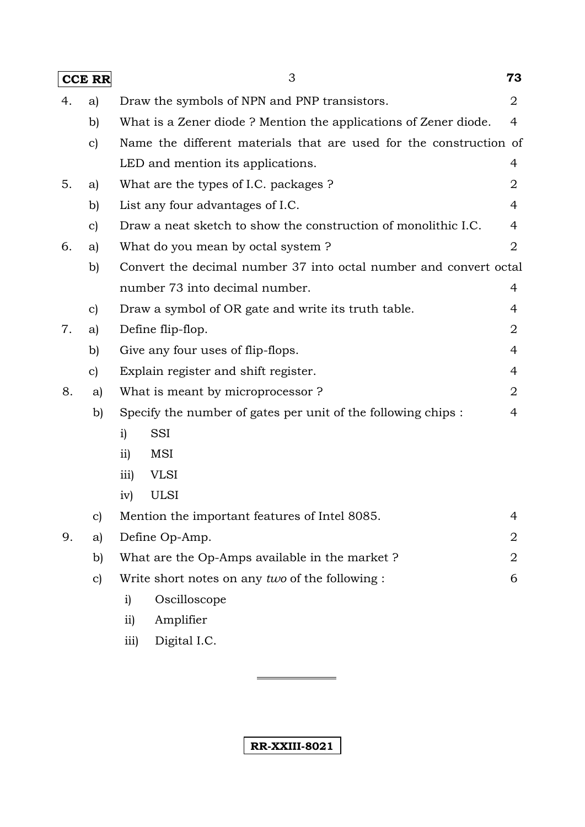| <b>CCE RR</b> |               | 3                                                                  | 73             |
|---------------|---------------|--------------------------------------------------------------------|----------------|
| 4.            | a)            | Draw the symbols of NPN and PNP transistors.                       | $\overline{2}$ |
|               | b)            | What is a Zener diode? Mention the applications of Zener diode.    | $\overline{4}$ |
|               | $\mathbf{c})$ | Name the different materials that are used for the construction of |                |
|               |               | LED and mention its applications.                                  | 4              |
| 5.            | a)            | What are the types of I.C. packages?                               | 2              |
|               | b)            | List any four advantages of I.C.                                   | 4              |
|               | $\mathbf{c})$ | Draw a neat sketch to show the construction of monolithic I.C.     | 4              |
| 6.            | a)            | What do you mean by octal system?                                  | 2              |
|               | b)            | Convert the decimal number 37 into octal number and convert octal  |                |
|               |               | number 73 into decimal number.                                     | 4              |
|               | $\mathbf{c}$  | Draw a symbol of OR gate and write its truth table.                | 4              |
| 7.            | a)            | Define flip-flop.                                                  | $\overline{2}$ |
|               | b)            | Give any four uses of flip-flops.                                  | 4              |
|               | $\mathbf{c})$ | Explain register and shift register.                               | 4              |
| 8.            | a)            | What is meant by microprocessor?                                   | 2              |
|               | b)            | Specify the number of gates per unit of the following chips:       | 4              |
|               |               | SSI<br>$\mathbf{i}$                                                |                |
|               |               | MSI<br>$\overline{11}$                                             |                |
|               |               | <b>VLSI</b><br>$\overline{111}$                                    |                |
|               |               | <b>ULSI</b><br>iv)                                                 |                |
|               | $\mathbf{c})$ | Mention the important features of Intel 8085.                      | 4              |
| 9.            | a)            | Define Op-Amp.                                                     | $\overline{2}$ |
|               | b)            | What are the Op-Amps available in the market?                      | 2              |
|               | $\mathbf{c}$  | Write short notes on any two of the following :                    | 6              |
|               |               | Oscilloscope<br>i)                                                 |                |
|               |               | Amplifier<br>$\overline{11}$                                       |                |
|               |               | Digital I.C.<br>iii)                                               |                |
|               |               |                                                                    |                |

**RR-XXIII-8021**